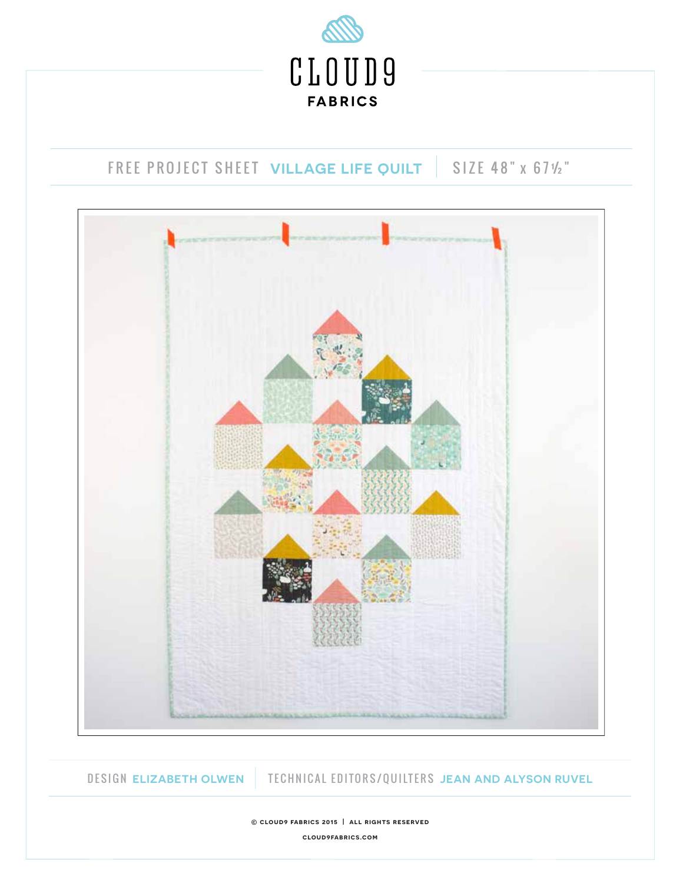

### DESIGN **ELIZABETH OLWEN** TECHNICAL EDITORS/QUILTERS **JEAN AND ALYSON RUVEL**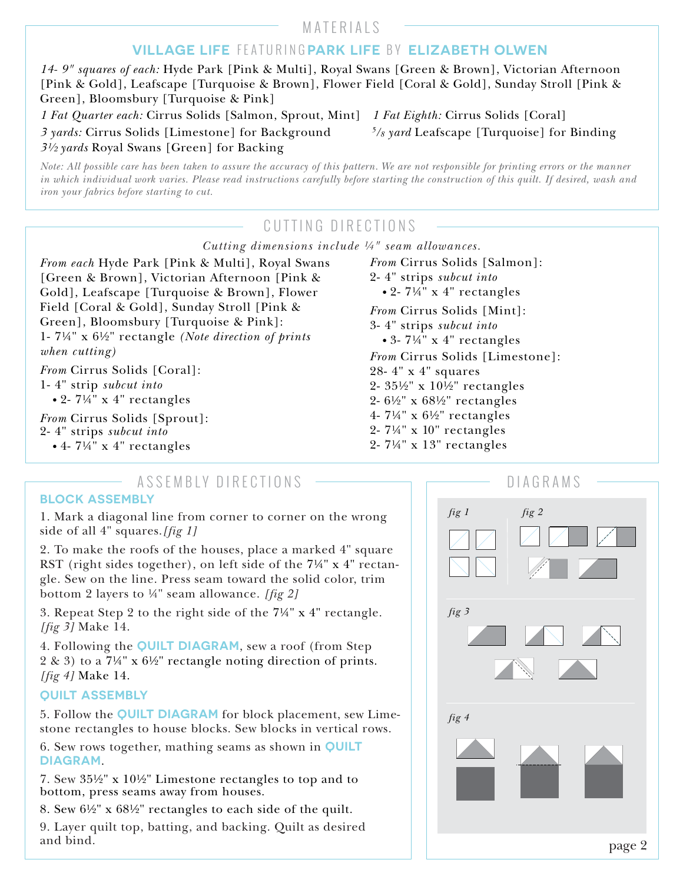## MATERIALS

### **VILLAGE LIFE** FEATURING **PARK LIFE** B Y **ELIZABETH OLWEN**

*14- 9" squares of each:* Hyde Park [Pink & Multi], Royal Swans [Green & Brown], Victorian Afternoon [Pink & Gold], Leafscape [Turquoise & Brown], Flower Field [Coral & Gold], Sunday Stroll [Pink & Green], Bloomsbury [Turquoise & Pink]

*1 Fat Quarter each:* Cirrus Solids [Salmon, Sprout, Mint] *1 Fat Eighth:* Cirrus Solids [Coral] *3 yards:* Cirrus Solids [Limestone] for Background *5/8 yard* Leafscape [Turquoise] for Binding *3½ yards* Royal Swans [Green] for Backing

*Note: All possible care has been taken to assure the accuracy of this pattern. We are not responsible for printing errors or the manner in which individual work varies. Please read instructions carefully before starting the construction of this quilt. If desired, wash and iron your fabrics before starting to cut.*

## CUTTING DIRECTIONS

*Cutting dimensions include ¼" seam allowances.*

*From each* Hyde Park [Pink & Multi], Royal Swans [Green & Brown], Victorian Afternoon [Pink & Gold], Leafscape [Turquoise & Brown], Flower Field [Coral & Gold], Sunday Stroll [Pink & Green], Bloomsbury [Turquoise & Pink]: 1- 7¼" x 6½" rectangle *(Note direction of prints when cutting)*

*From* Cirrus Solids [Coral]:

1- 4" strip *subcut into*

*•* 2- 7¼" x 4" rectangles

*From* Cirrus Solids [Sprout]: 2- 4" strips *subcut into*

*•* 4- 7¼" x 4" rectangles

*From* Cirrus Solids [Salmon]: 2- 4" strips *subcut into •* 2- 7¼" x 4" rectangles *From* Cirrus Solids [Mint]: 3- 4" strips *subcut into •* 3- 7¼" x 4" rectangles *From* Cirrus Solids [Limestone]: 28- 4" x 4" squares 2- 35½" x 10½" rectangles 2- 6½" x 68½" rectangles 4- 7¼" x 6½" rectangles 2- 7¼" x 10" rectangles 2- 7¼" x 13" rectangles

# ASSEMBLY DIRECTIONS **CONSTRUCTIONS DIAGRAMS**

#### **BLOCK ASSEMBLY**

1. Mark a diagonal line from corner to corner on the wrong side of all 4" squares.*[fig 1]* 

2. To make the roofs of the houses, place a marked 4" square RST (right sides together), on left side of the 7¼" x 4" rectangle. Sew on the line. Press seam toward the solid color, trim bottom 2 layers to ¼" seam allowance. *[fig 2]*

3. Repeat Step 2 to the right side of the 7¼" x 4" rectangle. *[fig 3]* Make 14.

4. Following the **QUILT DIAGRAM**, sew a roof (from Step 2 & 3) to a 7¼" x 6½" rectangle noting direction of prints. *[fig 4]* Make 14.

### **QUILT ASSEMBLY**

5. Follow the **QUILT DIAGRAM** for block placement, sew Limestone rectangles to house blocks. Sew blocks in vertical rows.

6. Sew rows together, mathing seams as shown in **QUILT DIAGRAM**.

7. Sew 35½" x 10½" Limestone rectangles to top and to bottom, press seams away from houses.

8. Sew 6½" x 68½" rectangles to each side of the quilt.

9. Layer quilt top, batting, and backing. Quilt as desired and bind.

| DIAGRAMS                         |
|----------------------------------|
| $\it{fig~1}$<br>$\mathit{fig}$ 2 |
| $fig\ 3$                         |
| fig 4                            |
| page 2                           |